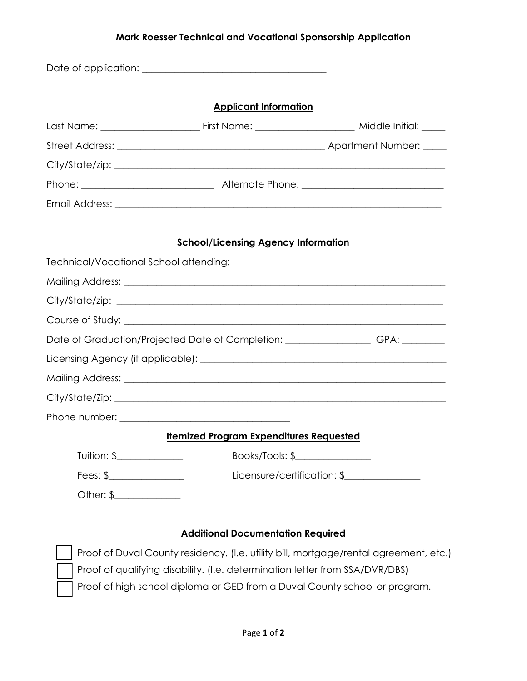## **Mark Roesser Technical and Vocational Sponsorship Application**

|                            | <b>Applicant Information</b>                                                      |                             |
|----------------------------|-----------------------------------------------------------------------------------|-----------------------------|
|                            |                                                                                   |                             |
|                            |                                                                                   |                             |
|                            |                                                                                   |                             |
|                            |                                                                                   |                             |
|                            |                                                                                   |                             |
|                            |                                                                                   |                             |
|                            | <b>School/Licensing Agency Information</b>                                        |                             |
|                            |                                                                                   |                             |
|                            |                                                                                   |                             |
|                            |                                                                                   |                             |
|                            |                                                                                   |                             |
|                            | Date of Graduation/Projected Date of Completion: ____________________GPA: _______ |                             |
|                            |                                                                                   |                             |
|                            |                                                                                   |                             |
|                            |                                                                                   |                             |
|                            |                                                                                   |                             |
|                            | <b>Itemized Program Expenditures Requested</b>                                    |                             |
| Tuition: \$_______________ | Books/Tools: \$                                                                   |                             |
|                            |                                                                                   | Licensure/certification: \$ |
| Fees: \$                   |                                                                                   |                             |

## **Additional Documentation Required**

 Proof of Duval County residency. (I.e. utility bill, mortgage/rental agreement, etc.) Proof of qualifying disability. (I.e. determination letter from SSA/DVR/DBS) Proof of high school diploma or GED from a Duval County school or program.